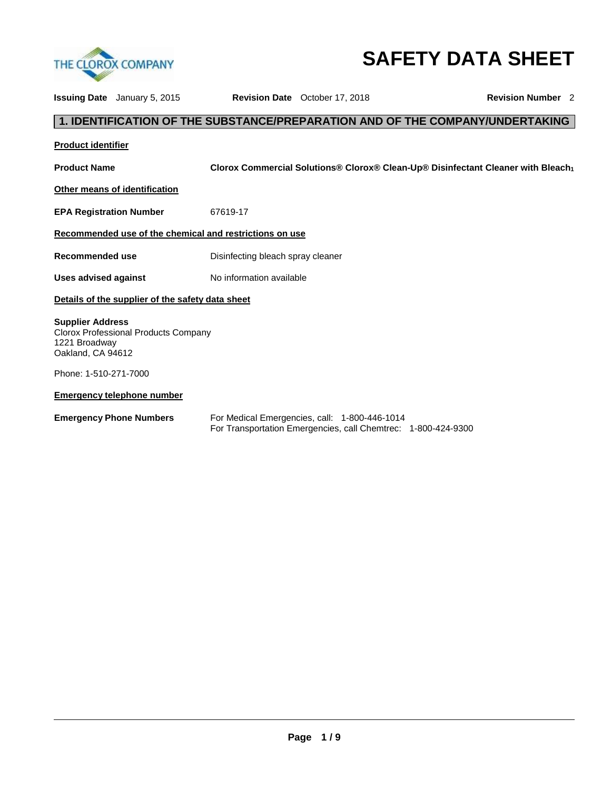

# **SAFETY DATA SHEET**

|                                                               | <b>Issuing Date</b> January 5, 2015              |                                                         | <b>Revision Date</b> October 17, 2018                                                                          | <b>Revision Number</b> 2                                                                     |  |
|---------------------------------------------------------------|--------------------------------------------------|---------------------------------------------------------|----------------------------------------------------------------------------------------------------------------|----------------------------------------------------------------------------------------------|--|
|                                                               |                                                  |                                                         |                                                                                                                | 1. IDENTIFICATION OF THE SUBSTANCE/PREPARATION AND OF THE COMPANY/UNDERTAKING                |  |
| <b>Product identifier</b>                                     |                                                  |                                                         |                                                                                                                |                                                                                              |  |
| <b>Product Name</b>                                           |                                                  |                                                         |                                                                                                                | Clorox Commercial Solutions® Clorox® Clean-Up® Disinfectant Cleaner with Bleach <sub>1</sub> |  |
|                                                               | Other means of identification                    |                                                         |                                                                                                                |                                                                                              |  |
| <b>EPA Registration Number</b>                                |                                                  | 67619-17                                                |                                                                                                                |                                                                                              |  |
|                                                               |                                                  | Recommended use of the chemical and restrictions on use |                                                                                                                |                                                                                              |  |
| <b>Recommended use</b>                                        |                                                  | Disinfecting bleach spray cleaner                       |                                                                                                                |                                                                                              |  |
| Uses advised against                                          |                                                  | No information available                                |                                                                                                                |                                                                                              |  |
|                                                               | Details of the supplier of the safety data sheet |                                                         |                                                                                                                |                                                                                              |  |
| <b>Supplier Address</b><br>1221 Broadway<br>Oakland, CA 94612 | Clorox Professional Products Company             |                                                         |                                                                                                                |                                                                                              |  |
| Phone: 1-510-271-7000                                         |                                                  |                                                         |                                                                                                                |                                                                                              |  |
|                                                               | <b>Emergency telephone number</b>                |                                                         |                                                                                                                |                                                                                              |  |
| <b>Emergency Phone Numbers</b>                                |                                                  |                                                         | For Medical Emergencies, call: 1-800-446-1014<br>For Transportation Emergencies, call Chemtrec: 1-800-424-9300 |                                                                                              |  |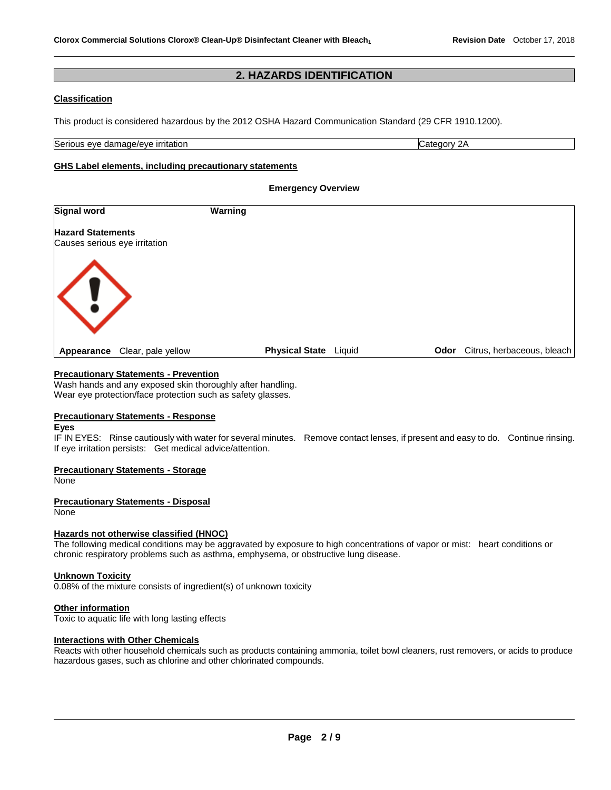#### **2. HAZARDS IDENTIFICATION**

#### **Classification**

This product is considered hazardous by the 2012 OSHA Hazard Communication Standard (29 CFR 1910.1200).

Serious eye damage/eye irritation Category 2A and Category 2A

#### **GHS Label elements, including precautionary statements**

#### **Emergency Overview**

| Signal word                      | Warning               |        |      |                            |
|----------------------------------|-----------------------|--------|------|----------------------------|
| <b>Hazard Statements</b>         |                       |        |      |                            |
| Causes serious eye irritation    |                       |        |      |                            |
|                                  |                       |        |      |                            |
|                                  |                       |        |      |                            |
| $\langle ! \rangle$              |                       |        |      |                            |
|                                  |                       |        |      |                            |
|                                  |                       |        |      |                            |
| Clear, pale yellow<br>Appearance | <b>Physical State</b> | Liquid | Odor | Citrus, herbaceous, bleach |

#### **Precautionary Statements - Prevention**

Wash hands and any exposed skin thoroughly after handling. Wear eye protection/face protection such as safety glasses.

#### **Precautionary Statements - Response**

#### **Eyes**

IF IN EYES: Rinse cautiously with water for several minutes. Remove contact lenses, if present and easy to do. Continue rinsing. If eye irritation persists: Get medical advice/attention.

#### **Precautionary Statements - Storage**

None

#### **Precautionary Statements - Disposal**

None

#### **Hazards not otherwise classified (HNOC)**

The following medical conditions may be aggravated by exposure to high concentrations of vapor or mist: heart conditions or chronic respiratory problems such as asthma, emphysema, or obstructive lung disease.

#### **Unknown Toxicity**

0.08% of the mixture consists of ingredient(s) of unknown toxicity

#### **Other information**

Toxic to aquatic life with long lasting effects

#### **Interactions with Other Chemicals**

Reacts with other household chemicals such as products containing ammonia, toilet bowl cleaners, rust removers, or acids to produce hazardous gases, such as chlorine and other chlorinated compounds.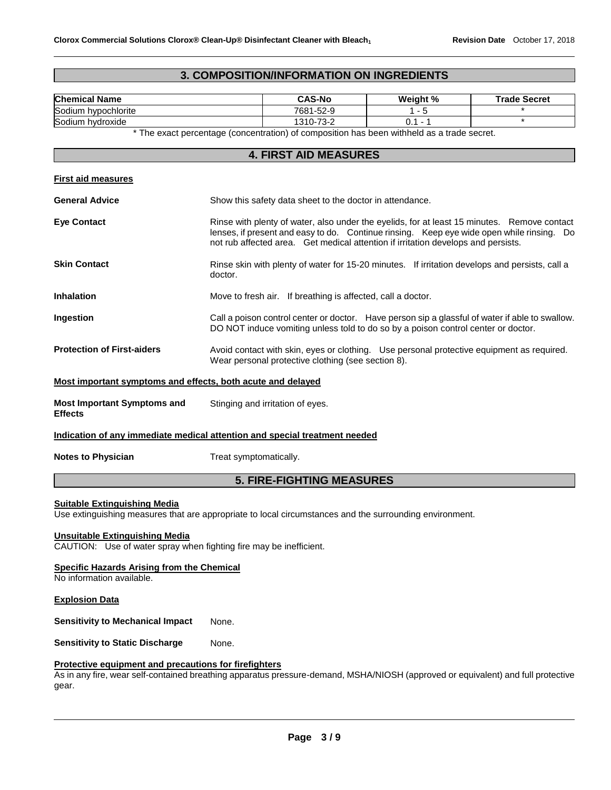#### **3. COMPOSITION/INFORMATION ON INGREDIENTS**

| <b>Chemical Name</b>                                                       | <b>CAS-No</b>                                                                                                                                                                                                                                                                 | Weight %  | <b>Trade Secret</b> |  |  |
|----------------------------------------------------------------------------|-------------------------------------------------------------------------------------------------------------------------------------------------------------------------------------------------------------------------------------------------------------------------------|-----------|---------------------|--|--|
| Sodium hypochlorite                                                        | 7681-52-9                                                                                                                                                                                                                                                                     | $1 - 5$   |                     |  |  |
| Sodium hydroxide                                                           | 1310-73-2                                                                                                                                                                                                                                                                     | $0.1 - 1$ | $\star$             |  |  |
|                                                                            | * The exact percentage (concentration) of composition has been withheld as a trade secret.                                                                                                                                                                                    |           |                     |  |  |
|                                                                            | <b>4. FIRST AID MEASURES</b>                                                                                                                                                                                                                                                  |           |                     |  |  |
| <b>First aid measures</b>                                                  |                                                                                                                                                                                                                                                                               |           |                     |  |  |
| <b>General Advice</b>                                                      | Show this safety data sheet to the doctor in attendance.                                                                                                                                                                                                                      |           |                     |  |  |
| <b>Eye Contact</b>                                                         | Rinse with plenty of water, also under the eyelids, for at least 15 minutes. Remove contact<br>lenses, if present and easy to do. Continue rinsing. Keep eye wide open while rinsing. Do<br>not rub affected area. Get medical attention if irritation develops and persists. |           |                     |  |  |
| <b>Skin Contact</b>                                                        | Rinse skin with plenty of water for 15-20 minutes. If irritation develops and persists, call a<br>doctor.                                                                                                                                                                     |           |                     |  |  |
| <b>Inhalation</b>                                                          | Move to fresh air. If breathing is affected, call a doctor.                                                                                                                                                                                                                   |           |                     |  |  |
| Ingestion                                                                  | Call a poison control center or doctor. Have person sip a glassful of water if able to swallow.<br>DO NOT induce vomiting unless told to do so by a poison control center or doctor.                                                                                          |           |                     |  |  |
| <b>Protection of First-aiders</b>                                          | Avoid contact with skin, eyes or clothing. Use personal protective equipment as required.<br>Wear personal protective clothing (see section 8).                                                                                                                               |           |                     |  |  |
| Most important symptoms and effects, both acute and delayed                |                                                                                                                                                                                                                                                                               |           |                     |  |  |
| <b>Most Important Symptoms and</b><br><b>Effects</b>                       | Stinging and irritation of eyes.                                                                                                                                                                                                                                              |           |                     |  |  |
| Indication of any immediate medical attention and special treatment needed |                                                                                                                                                                                                                                                                               |           |                     |  |  |
| <b>Notes to Physician</b>                                                  | Treat symptomatically.                                                                                                                                                                                                                                                        |           |                     |  |  |
|                                                                            | <b>5. FIRE-FIGHTING MEASURES</b>                                                                                                                                                                                                                                              |           |                     |  |  |

#### **Suitable Extinguishing Media**

Use extinguishing measures that are appropriate to local circumstances and the surrounding environment.

#### **Unsuitable Extinguishing Media**

CAUTION: Use of water spray when fighting fire may be inefficient.

#### **Specific Hazards Arising from the Chemical**

No information available.

#### **Explosion Data**

**Sensitivity to Mechanical Impact** None.

**Sensitivity to Static Discharge Mone.** 

#### **Protective equipment and precautions for firefighters**

As in any fire, wear self-contained breathing apparatus pressure-demand, MSHA/NIOSH (approved or equivalent) and full protective gear.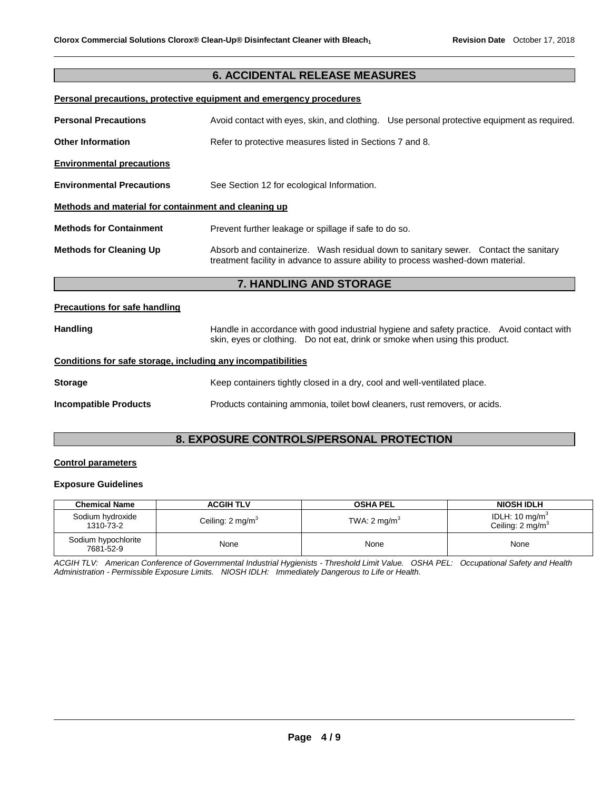#### **6. ACCIDENTAL RELEASE MEASURES**

#### **Personal precautions, protective equipment and emergency procedures**

| <b>Personal Precautions</b>                          |                                                                                  | Avoid contact with eyes, skin, and clothing. Use personal protective equipment as required. |  |  |
|------------------------------------------------------|----------------------------------------------------------------------------------|---------------------------------------------------------------------------------------------|--|--|
| <b>Other Information</b>                             | Refer to protective measures listed in Sections 7 and 8.                         |                                                                                             |  |  |
| <b>Environmental precautions</b>                     |                                                                                  |                                                                                             |  |  |
| <b>Environmental Precautions</b>                     | See Section 12 for ecological Information.                                       |                                                                                             |  |  |
| Methods and material for containment and cleaning up |                                                                                  |                                                                                             |  |  |
| <b>Methods for Containment</b>                       | Prevent further leakage or spillage if safe to do so.                            |                                                                                             |  |  |
| <b>Methods for Cleaning Up</b>                       | treatment facility in advance to assure ability to process washed-down material. | Absorb and containerize. Wash residual down to sanitary sewer. Contact the sanitary         |  |  |

### **7. HANDLING AND STORAGE**

#### **Precautions for safe handling**

| <b>Handling</b> | Handle in accordance with good industrial hygiene and safety practice. Avoid contact with |  |  |
|-----------------|-------------------------------------------------------------------------------------------|--|--|
|                 | skin, eyes or clothing.  Do not eat, drink or smoke when using this product.              |  |  |

#### **Conditions for safe storage, including any incompatibilities**

| <b>Storage</b>               | Keep containers tightly closed in a dry, cool and well-ventilated place.    |
|------------------------------|-----------------------------------------------------------------------------|
| <b>Incompatible Products</b> | Products containing ammonia, toilet bowl cleaners, rust removers, or acids. |

#### **8. EXPOSURE CONTROLS/PERSONAL PROTECTION**

#### **Control parameters**

#### **Exposure Guidelines**

| <b>Chemical Name</b>             | <b>ACGIH TLV</b>             | <b>OSHA PEL</b>         | <b>NIOSH IDLH</b>                                        |
|----------------------------------|------------------------------|-------------------------|----------------------------------------------------------|
| Sodium hydroxide<br>1310-73-2    | Ceiling: 2 mg/m <sup>3</sup> | TWA: $2 \text{ mg/m}^3$ | IDLH: $10 \text{ mg/m}^3$<br>Ceiling: $2 \text{ mg/m}^3$ |
| Sodium hypochlorite<br>7681-52-9 | None                         | None                    | None                                                     |

*ACGIH TLV: American Conference of Governmental Industrial Hygienists - Threshold Limit Value. OSHA PEL: Occupational Safety and Health Administration - Permissible Exposure Limits. NIOSH IDLH: Immediately Dangerous to Life or Health.*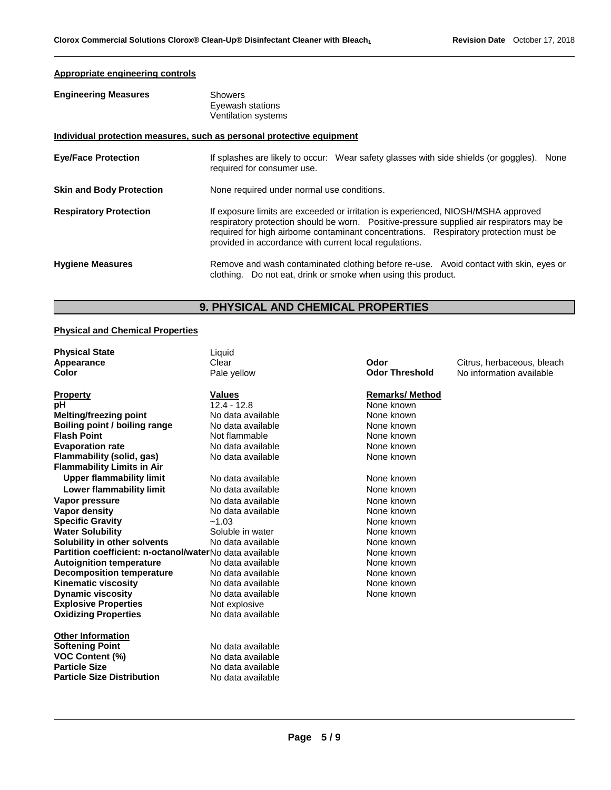#### **Appropriate engineering controls**

| <b>Engineering Measures</b>                                           | <b>Showers</b><br>Eyewash stations<br>Ventilation systems                                                                                                                                                                                                                                                                        |  |  |
|-----------------------------------------------------------------------|----------------------------------------------------------------------------------------------------------------------------------------------------------------------------------------------------------------------------------------------------------------------------------------------------------------------------------|--|--|
| Individual protection measures, such as personal protective equipment |                                                                                                                                                                                                                                                                                                                                  |  |  |
| <b>Eye/Face Protection</b>                                            | If splashes are likely to occur: Wear safety glasses with side shields (or goggles).<br>None<br>required for consumer use.                                                                                                                                                                                                       |  |  |
| <b>Skin and Body Protection</b>                                       | None required under normal use conditions.                                                                                                                                                                                                                                                                                       |  |  |
| <b>Respiratory Protection</b>                                         | If exposure limits are exceeded or irritation is experienced, NIOSH/MSHA approved<br>respiratory protection should be worn. Positive-pressure supplied air respirators may be<br>required for high airborne contaminant concentrations. Respiratory protection must be<br>provided in accordance with current local regulations. |  |  |
| <b>Hygiene Measures</b>                                               | Remove and wash contaminated clothing before re-use. Avoid contact with skin, eyes or<br>clothing. Do not eat, drink or smoke when using this product.                                                                                                                                                                           |  |  |

## **9. PHYSICAL AND CHEMICAL PROPERTIES**

#### **Physical and Chemical Properties**

| <b>Physical State</b>                                   | Liquid            |      |                       |                            |
|---------------------------------------------------------|-------------------|------|-----------------------|----------------------------|
| Appearance                                              | Clear             | Odor |                       | Citrus, herbaceous, bleach |
| <b>Color</b>                                            | Pale yellow       |      | <b>Odor Threshold</b> | No information available   |
| <b>Property</b>                                         | <b>Values</b>     |      | <b>Remarks/Method</b> |                            |
| рH                                                      | $12.4 - 12.8$     |      | None known            |                            |
| <b>Melting/freezing point</b>                           | No data available |      | None known            |                            |
| Boiling point / boiling range                           | No data available |      | None known            |                            |
| <b>Flash Point</b>                                      | Not flammable     |      | None known            |                            |
| <b>Evaporation rate</b>                                 | No data available |      | None known            |                            |
| Flammability (solid, gas)                               | No data available |      | None known            |                            |
| <b>Flammability Limits in Air</b>                       |                   |      |                       |                            |
| <b>Upper flammability limit</b>                         | No data available |      | None known            |                            |
| Lower flammability limit                                | No data available |      | None known            |                            |
| Vapor pressure                                          | No data available |      | None known            |                            |
| Vapor density                                           | No data available |      | None known            |                            |
| <b>Specific Gravity</b>                                 | $-1.03$           |      | None known            |                            |
| <b>Water Solubility</b>                                 | Soluble in water  |      | None known            |                            |
| Solubility in other solvents                            | No data available |      | None known            |                            |
| Partition coefficient: n-octanol/waterNo data available |                   |      | None known            |                            |
| <b>Autoignition temperature</b>                         | No data available |      | None known            |                            |
| <b>Decomposition temperature</b>                        | No data available |      | None known            |                            |
| <b>Kinematic viscosity</b>                              | No data available |      | None known            |                            |
| <b>Dynamic viscosity</b>                                | No data available |      | None known            |                            |
| <b>Explosive Properties</b>                             | Not explosive     |      |                       |                            |
| <b>Oxidizing Properties</b>                             | No data available |      |                       |                            |
| <b>Other Information</b>                                |                   |      |                       |                            |
| <b>Softening Point</b>                                  | No data available |      |                       |                            |
| <b>VOC Content (%)</b>                                  | No data available |      |                       |                            |
| <b>Particle Size</b>                                    | No data available |      |                       |                            |
| <b>Particle Size Distribution</b>                       | No data available |      |                       |                            |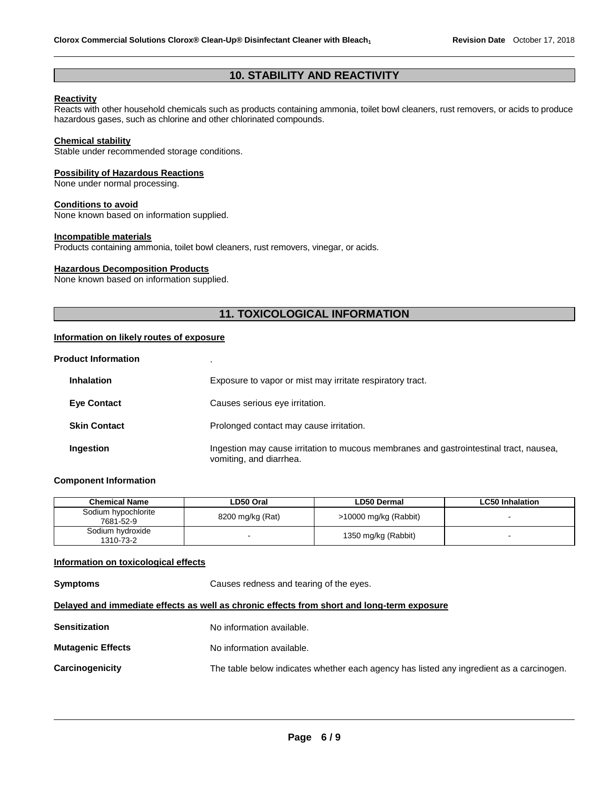#### **10. STABILITY AND REACTIVITY**

#### **Reactivity**

Reacts with other household chemicals such as products containing ammonia, toilet bowl cleaners, rust removers, or acids to produce hazardous gases, such as chlorine and other chlorinated compounds.

#### **Chemical stability**

Stable under recommended storage conditions.

#### **Possibility of Hazardous Reactions**

None under normal processing.

#### **Conditions to avoid**

None known based on information supplied.

#### **Incompatible materials**

Products containing ammonia, toilet bowl cleaners, rust removers, vinegar, or acids.

#### **Hazardous Decomposition Products**

None known based on information supplied.

#### **11. TOXICOLOGICAL INFORMATION**

#### **Information on likely routes of exposure**

#### **Product Information** .

| <b>Inhalation</b>   | Exposure to vapor or mist may irritate respiratory tract.                                                         |
|---------------------|-------------------------------------------------------------------------------------------------------------------|
| <b>Eye Contact</b>  | Causes serious eye irritation.                                                                                    |
| <b>Skin Contact</b> | Prolonged contact may cause irritation.                                                                           |
| Ingestion           | Ingestion may cause irritation to mucous membranes and gastrointestinal tract, nausea,<br>vomiting, and diarrhea. |

#### **Component Information**

| <b>Chemical Name</b>             | LD50 Oral        | LD50 Dermal           | <b>LC50 Inhalation</b> |
|----------------------------------|------------------|-----------------------|------------------------|
| Sodium hypochlorite<br>7681-52-9 | 8200 mg/kg (Rat) | >10000 mg/kg (Rabbit) |                        |
| Sodium hydroxide<br>1310-73-2    |                  | 1350 mg/kg (Rabbit)   |                        |

#### **Information on toxicological effects**

**Symptoms Causes redness and tearing of the eyes. Delayed and immediate effects as well as chronic effects from short and long-term exposure Sensitization Mutagenic Effects**  No information available. No information available.

**Carcinogenicity** The table below indicates whether each agency has listed any ingredient as a carcinogen.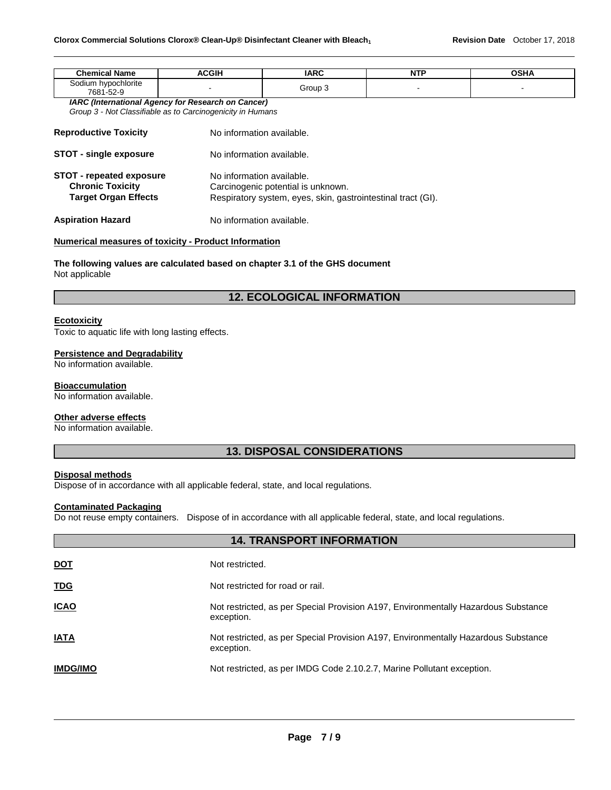| <b>Chemical Name</b>                                                                 | <b>ACGIH</b>                                               | <b>IARC</b>                                                     | <b>NTP</b> | <b>OSHA</b> |  |  |
|--------------------------------------------------------------------------------------|------------------------------------------------------------|-----------------------------------------------------------------|------------|-------------|--|--|
| Sodium hypochlorite<br>7681-52-9                                                     |                                                            | Group 3                                                         |            |             |  |  |
|                                                                                      | <b>IARC (International Agency for Research on Cancer)</b>  |                                                                 |            |             |  |  |
|                                                                                      | Group 3 - Not Classifiable as to Carcinogenicity in Humans |                                                                 |            |             |  |  |
| <b>Reproductive Toxicity</b>                                                         |                                                            | No information available.                                       |            |             |  |  |
| <b>STOT - single exposure</b>                                                        |                                                            | No information available.                                       |            |             |  |  |
| <b>STOT - repeated exposure</b><br><b>Chronic Toxicity</b>                           |                                                            | No information available.<br>Carcinogenic potential is unknown. |            |             |  |  |
| Target Organ Effects<br>Respiratory system, eyes, skin, gastrointestinal tract (GI). |                                                            |                                                                 |            |             |  |  |
| <b>Aspiration Hazard</b>                                                             | No information available.                                  |                                                                 |            |             |  |  |

#### **Numerical measures of toxicity - Product Information**

**The following values are calculated based on chapter 3.1 of the GHS document** Not applicable

#### **12. ECOLOGICAL INFORMATION**

#### **Ecotoxicity**

Toxic to aquatic life with long lasting effects.

#### **Persistence and Degradability**

No information available.

#### **Bioaccumulation**

No information available.

#### **Other adverse effects**

No information available.

#### **13. DISPOSAL CONSIDERATIONS**

#### **Disposal methods**

Dispose of in accordance with all applicable federal, state, and local regulations.

#### **Contaminated Packaging**

Do not reuse empty containers. Dispose of in accordance with all applicable federal, state, and local regulations.

|                 | <b>14. TRANSPORT INFORMATION</b>                                                                 |
|-----------------|--------------------------------------------------------------------------------------------------|
| <u>DOT</u>      | Not restricted.                                                                                  |
| <b>TDG</b>      | Not restricted for road or rail.                                                                 |
| <u>ICAO</u>     | Not restricted, as per Special Provision A197, Environmentally Hazardous Substance<br>exception. |
| <b>IATA</b>     | Not restricted, as per Special Provision A197, Environmentally Hazardous Substance<br>exception. |
| <b>IMDG/IMO</b> | Not restricted, as per IMDG Code 2.10.2.7, Marine Pollutant exception.                           |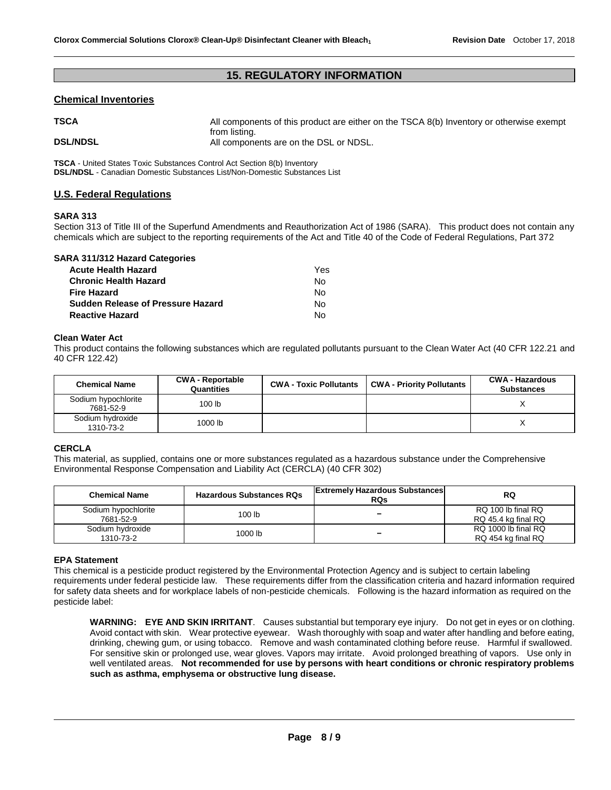#### **15. REGULATORY INFORMATION**

#### **Chemical Inventories**

| <b>TSCA</b>     | All components of this product are either on the TSCA 8(b) Inventory or otherwise exempt |
|-----------------|------------------------------------------------------------------------------------------|
| <b>DSL/NDSL</b> | from listing.<br>All components are on the DSL or NDSL.                                  |

**TSCA** - United States Toxic Substances Control Act Section 8(b) Inventory **DSL/NDSL** - Canadian Domestic Substances List/Non-Domestic Substances List

#### **U.S. Federal Regulations**

#### **SARA 313**

Section 313 of Title III of the Superfund Amendments and Reauthorization Act of 1986 (SARA). This product does not contain any chemicals which are subject to the reporting requirements of the Act and Title 40 of the Code of Federal Regulations, Part 372

| <b>SARA 311/312 Hazard Categories</b>    |     |
|------------------------------------------|-----|
| <b>Acute Health Hazard</b>               | Yes |
| <b>Chronic Health Hazard</b>             | N٥  |
| <b>Fire Hazard</b>                       | Nο  |
| <b>Sudden Release of Pressure Hazard</b> | N٥  |
| <b>Reactive Hazard</b>                   | N۵  |

#### **Clean Water Act**

This product contains the following substances which are regulated pollutants pursuant to the Clean Water Act (40 CFR 122.21 and 40 CFR 122.42)

| <b>Chemical Name</b>             | <b>CWA - Reportable</b><br>Quantities | <b>CWA - Toxic Pollutants</b> | <b>CWA - Priority Pollutants</b> | <b>CWA - Hazardous</b><br><b>Substances</b> |
|----------------------------------|---------------------------------------|-------------------------------|----------------------------------|---------------------------------------------|
| Sodium hypochlorite<br>7681-52-9 | 100 <sub>lb</sub>                     |                               |                                  |                                             |
| Sodium hydroxide<br>1310-73-2    | 1000 lb                               |                               |                                  |                                             |

#### **CERCLA**

This material, as supplied, contains one or more substances regulated as a hazardous substance under the Comprehensive Environmental Response Compensation and Liability Act (CERCLA) (40 CFR 302)

| <b>Chemical Name</b>             | <b>Hazardous Substances RQs</b> | <b>Extremely Hazardous Substances</b><br><b>RQs</b> | RQ                                        |
|----------------------------------|---------------------------------|-----------------------------------------------------|-------------------------------------------|
| Sodium hypochlorite<br>7681-52-9 | 100 lb                          | -                                                   | RQ 100 lb final RQ<br>RQ 45.4 kg final RQ |
| Sodium hydroxide<br>1310-73-2    | 1000 lb                         | -                                                   | RQ 1000 lb final RQ<br>RQ 454 kg final RQ |

#### **EPA Statement**

This chemical is a pesticide product registered by the Environmental Protection Agency and is subject to certain labeling requirements under federal pesticide law. These requirements differ from the classification criteria and hazard information required for safety data sheets and for workplace labels of non-pesticide chemicals. Following is the hazard information as required on the pesticide label:

**WARNING: EYE AND SKIN IRRITANT**. Causes substantial but temporary eye injury. Do not get in eyes or on clothing. Avoid contact with skin. Wear protective eyewear. Wash thoroughly with soap and water after handling and before eating, drinking, chewing gum, or using tobacco. Remove and wash contaminated clothing before reuse. Harmful if swallowed. For sensitive skin or prolonged use, wear gloves. Vapors may irritate. Avoid prolonged breathing of vapors. Use only in well ventilated areas. **Not recommended for use by persons with heart conditions or chronic respiratory problems such as asthma, emphysema or obstructive lung disease.**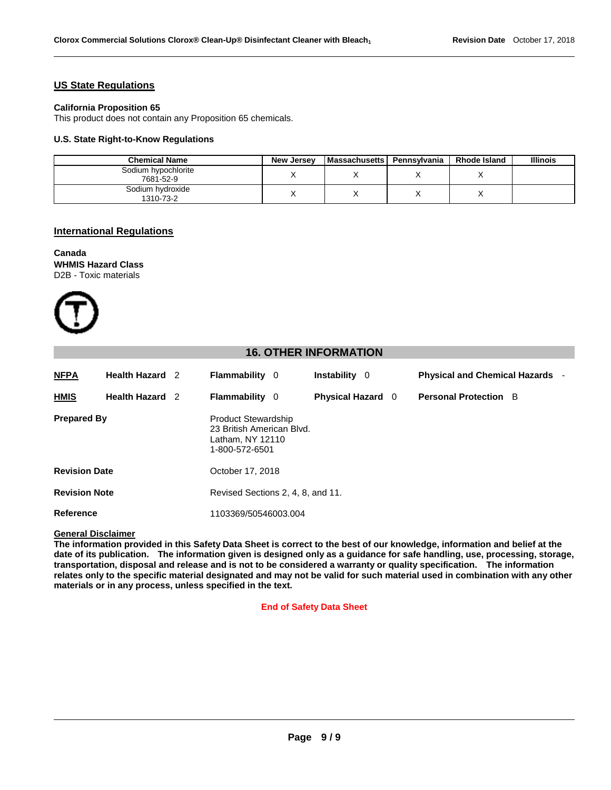#### **US State Regulations**

#### **California Proposition 65**

This product does not contain any Proposition 65 chemicals.

#### **U.S. State Right-to-Know Regulations**

| <b>Chemical Name</b>             | <b>New Jersey</b> | <b>Massachusetts</b> | Pennsvlvania | <b>Rhode Island</b> | <b>Illinois</b> |
|----------------------------------|-------------------|----------------------|--------------|---------------------|-----------------|
| Sodium hypochlorite<br>7681-52-9 |                   |                      |              |                     |                 |
| Sodium hydroxide<br>1310-73-2    |                   |                      |              |                     |                 |

#### **International Regulations**

#### **Canada WHMIS Hazard Class** D2B - Toxic materials



#### **16. OTHER INFORMATION**

| <b>NFPA</b>          | <b>Health Hazard</b> 2 | <b>Flammability</b> 0                                                                         | <b>Instability</b> 0     | <b>Physical and Chemical Hazards -</b> |  |
|----------------------|------------------------|-----------------------------------------------------------------------------------------------|--------------------------|----------------------------------------|--|
| <b>HMIS</b>          | <b>Health Hazard</b> 2 | <b>Flammability</b> 0                                                                         | <b>Physical Hazard</b> 0 | <b>Personal Protection B</b>           |  |
| <b>Prepared By</b>   |                        | <b>Product Stewardship</b><br>23 British American Blvd.<br>Latham, NY 12110<br>1-800-572-6501 |                          |                                        |  |
| <b>Revision Date</b> |                        | October 17, 2018                                                                              |                          |                                        |  |
| <b>Revision Note</b> |                        | Revised Sections 2, 4, 8, and 11.                                                             |                          |                                        |  |
| Reference            |                        | 1103369/50546003.004                                                                          |                          |                                        |  |

#### **General Disclaimer**

**The information provided in this Safety Data Sheet is correct to the best of our knowledge, information and belief at the date of its publication. The information given is designed only as a guidance for safe handling, use, processing, storage, transportation, disposal and release and is not to be considered a warranty or quality specification. The information relates only to the specific material designated and may not be valid for such material used in combination with any other materials or in any process, unless specified in the text.**

#### **End of Safety Data Sheet**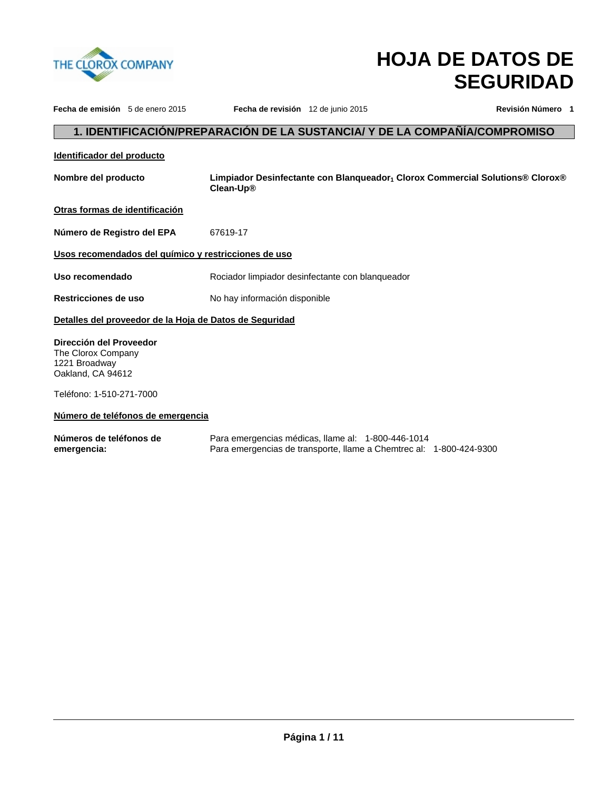

# **HOJA DE DATOS DE SEGURIDAD**

| Fecha de emisión 5 de enero 2015                                                    |                                   | Fecha de revisión 12 de junio 2015                      |                                                                                                                           | Revisión Número 1                                                             |
|-------------------------------------------------------------------------------------|-----------------------------------|---------------------------------------------------------|---------------------------------------------------------------------------------------------------------------------------|-------------------------------------------------------------------------------|
|                                                                                     |                                   |                                                         |                                                                                                                           | 1. IDENTIFICACIÓN/PREPARACIÓN DE LA SUSTANCIA/ Y DE LA COMPAÑÍA/COMPROMISO    |
| Identificador del producto                                                          |                                   |                                                         |                                                                                                                           |                                                                               |
| Nombre del producto                                                                 |                                   | Clean-Up®                                               |                                                                                                                           | Limpiador Desinfectante con Blangueador, Clorox Commercial Solutions® Clorox® |
| Otras formas de identificación                                                      |                                   |                                                         |                                                                                                                           |                                                                               |
| Número de Registro del EPA                                                          |                                   | 67619-17                                                |                                                                                                                           |                                                                               |
|                                                                                     |                                   | Usos recomendados del químico y restricciones de uso    |                                                                                                                           |                                                                               |
| Uso recomendado                                                                     |                                   |                                                         | Rociador limpiador desinfectante con blanqueador                                                                          |                                                                               |
| Restricciones de uso                                                                |                                   | No hay información disponible                           |                                                                                                                           |                                                                               |
|                                                                                     |                                   | Detalles del proveedor de la Hoja de Datos de Seguridad |                                                                                                                           |                                                                               |
| Dirección del Proveedor<br>The Clorox Company<br>1221 Broadway<br>Oakland, CA 94612 |                                   |                                                         |                                                                                                                           |                                                                               |
| Teléfono: 1-510-271-7000                                                            |                                   |                                                         |                                                                                                                           |                                                                               |
|                                                                                     | Número de teléfonos de emergencia |                                                         |                                                                                                                           |                                                                               |
| Números de teléfonos de<br>emergencia:                                              |                                   |                                                         | Para emergencias médicas, llame al: 1-800-446-1014<br>Para emergencias de transporte, llame a Chemtrec al: 1-800-424-9300 |                                                                               |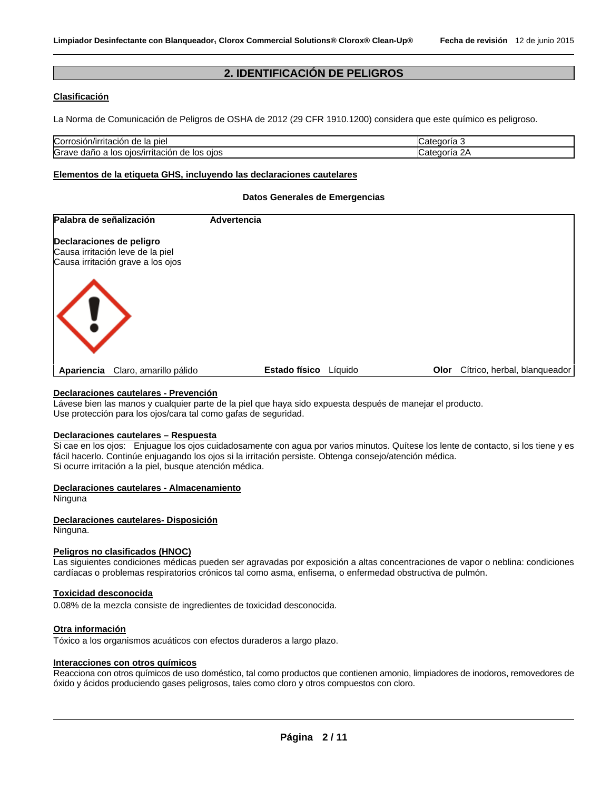#### **2. IDENTIFICACIÓN DE PELIGROS**

#### **Clasificación**

La Norma de Comunicación de Peligros de OSHA de 2012 (29 CFR 1910.1200) considera que este químico es peligroso.

| Corrosión/irritación                                                  | `atanoria           |
|-----------------------------------------------------------------------|---------------------|
| de la pie                                                             | הוונ                |
| Grave daño<br>∘ oios<br>los<br>,/irritacior<br>los<br>de.<br>DS/<br>a | ^ ^<br><b>uoria</b> |

#### **Elementos de la etiqueta GHS, incluyendo las declaraciones cautelares**

#### **Datos Generales de Emergencias**

| Palabra de señalización                                                                           | Advertencia          |         |      |                              |
|---------------------------------------------------------------------------------------------------|----------------------|---------|------|------------------------------|
| Declaraciones de peligro<br>Causa irritación leve de la piel<br>Causa irritación grave a los ojos |                      |         |      |                              |
| $\langle \, ! \, \rangle$                                                                         |                      |         |      |                              |
| Claro, amarillo pálido<br>Apariencia                                                              | <b>Estado físico</b> | Líquido | Olor | Cítrico, herbal, blanqueador |

#### **Declaraciones cautelares - Prevención**

Lávese bien las manos y cualquier parte de la piel que haya sido expuesta después de manejar el producto. Use protección para los ojos/cara tal como gafas de seguridad.

#### **Declaraciones cautelares – Respuesta**

Si cae en los ojos: Enjuague los ojos cuidadosamente con agua por varios minutos. Quítese los lente de contacto, si los tiene y es fácil hacerlo. Continúe enjuagando los ojos si la irritación persiste. Obtenga consejo/atención médica. Si ocurre irritación a la piel, busque atención médica.

#### **Declaraciones cautelares - Almacenamiento**

Ninguna

#### **Declaraciones cautelares- Disposición**

Ninguna.

#### **Peligros no clasificados (HNOC)**

Las siguientes condiciones médicas pueden ser agravadas por exposición a altas concentraciones de vapor o neblina: condiciones cardíacas o problemas respiratorios crónicos tal como asma, enfisema, o enfermedad obstructiva de pulmón.

#### **Toxicidad desconocida**

0.08% de la mezcla consiste de ingredientes de toxicidad desconocida.

#### **Otra información**

Tóxico a los organismos acuáticos con efectos duraderos a largo plazo.

#### **Interacciones con otros químicos**

Reacciona con otros químicos de uso doméstico, tal como productos que contienen amonio, limpiadores de inodoros, removedores de óxido y ácidos produciendo gases peligrosos, tales como cloro y otros compuestos con cloro.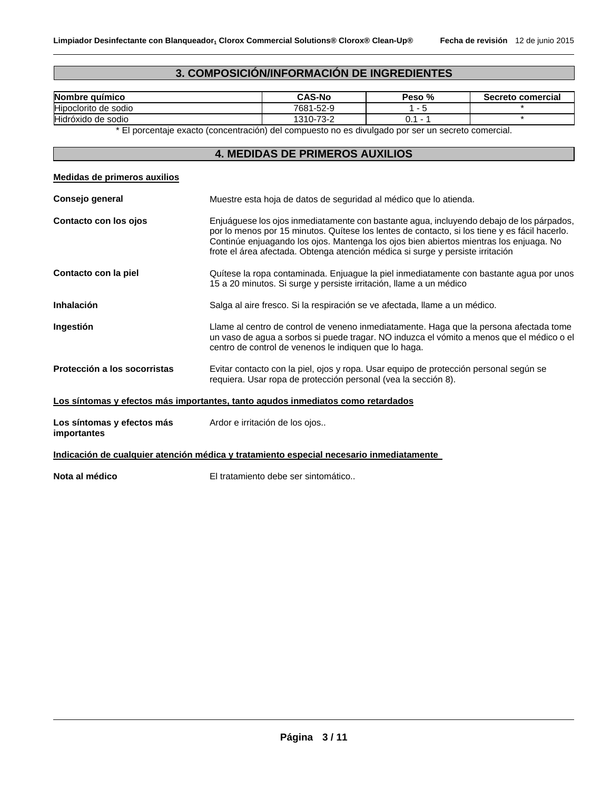## **3. COMPOSICIÓN/INFORMACIÓN DE INGREDIENTES**

| Nombre químico          | <b>CAS-No</b>         | %<br><b>Peso</b> | Secreto comercial |
|-------------------------|-----------------------|------------------|-------------------|
| Hipoclorito<br>de sodio | 7681-52-9             |                  |                   |
| Hidróxido de sodio      | 1310-7<br>70c<br>ے-ت∵ | U.               |                   |

\* El porcentaje exacto (concentración) del compuesto no es divulgado por ser un secreto comercial.

#### **4. MEDIDAS DE PRIMEROS AUXILIOS**

| Medidas de primeros auxilios              |                                                                                                                                                                                                                                                                                                                                                                       |
|-------------------------------------------|-----------------------------------------------------------------------------------------------------------------------------------------------------------------------------------------------------------------------------------------------------------------------------------------------------------------------------------------------------------------------|
| Consejo general                           | Muestre esta hoja de datos de seguridad al médico que lo atienda.                                                                                                                                                                                                                                                                                                     |
| Contacto con los ojos                     | Enjuáguese los ojos inmediatamente con bastante agua, incluyendo debajo de los párpados,<br>por lo menos por 15 minutos. Quítese los lentes de contacto, si los tiene y es fácil hacerlo.<br>Continúe enjuagando los ojos. Mantenga los ojos bien abiertos mientras los enjuaga. No<br>frote el área afectada. Obtenga atención médica si surge y persiste irritación |
| Contacto con la piel                      | Quítese la ropa contaminada. Enjuague la piel inmediatamente con bastante agua por unos<br>15 a 20 minutos. Si surge y persiste irritación, llame a un médico                                                                                                                                                                                                         |
| Inhalación                                | Salga al aire fresco. Si la respiración se ve afectada, llame a un médico.                                                                                                                                                                                                                                                                                            |
| Ingestión                                 | Llame al centro de control de veneno inmediatamente. Haga que la persona afectada tome<br>un vaso de agua a sorbos si puede tragar. NO induzca el vómito a menos que el médico o el<br>centro de control de venenos le indiquen que lo haga.                                                                                                                          |
| Protección a los socorristas              | Evitar contacto con la piel, ojos y ropa. Usar equipo de protección personal según se<br>requiera. Usar ropa de protección personal (vea la sección 8).                                                                                                                                                                                                               |
|                                           | Los síntomas y efectos más importantes, tanto agudos inmediatos como retardados                                                                                                                                                                                                                                                                                       |
| Los síntomas y efectos más<br>importantes | Ardor e irritación de los ojos                                                                                                                                                                                                                                                                                                                                        |
|                                           | Indicación de cualquier atención médica y tratamiento especial necesario inmediatamente                                                                                                                                                                                                                                                                               |
| Nota al médico                            | El tratamiento debe ser sintomático                                                                                                                                                                                                                                                                                                                                   |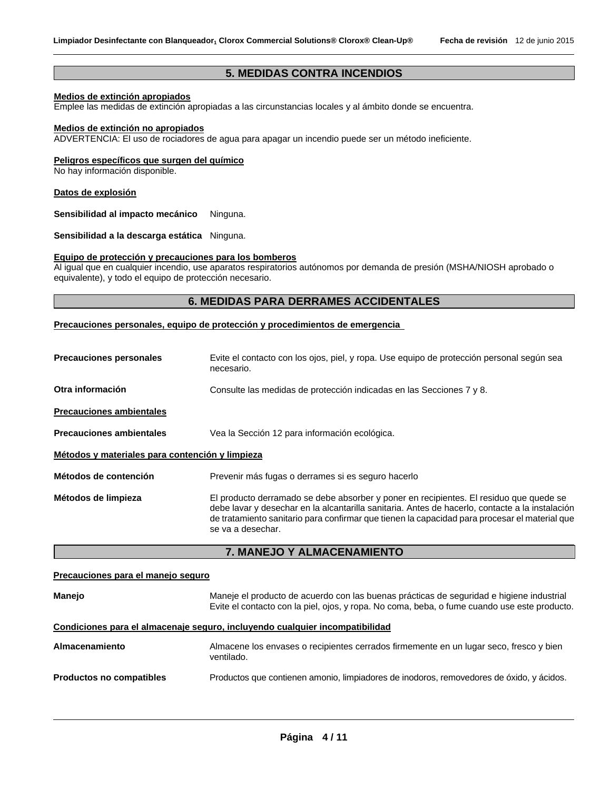#### **5. MEDIDAS CONTRA INCENDIOS**

#### **Medios de extinción apropiados**

Emplee las medidas de extinción apropiadas a las circunstancias locales y al ámbito donde se encuentra.

#### **Medios de extinción no apropiados**

ADVERTENCIA: El uso de rociadores de agua para apagar un incendio puede ser un método ineficiente.

#### **Peligros específicos que surgen del químico**

No hay información disponible.

#### **Datos de explosión**

**Sensibilidad al impacto mecánico** Ninguna.

**Sensibilidad a la descarga estática** Ninguna.

#### **Equipo de protección y precauciones para los bomberos**

Al igual que en cualquier incendio, use aparatos respiratorios autónomos por demanda de presión (MSHA/NIOSH aprobado o equivalente), y todo el equipo de protección necesario.

#### **6. MEDIDAS PARA DERRAMES ACCIDENTALES**

**Precauciones personales, equipo de protección y procedimientos de emergencia** 

| <b>Precauciones personales</b>                  | Evite el contacto con los ojos, piel, y ropa. Use equipo de protección personal según sea<br>necesario.                                                                                                                                                                                                         |  |
|-------------------------------------------------|-----------------------------------------------------------------------------------------------------------------------------------------------------------------------------------------------------------------------------------------------------------------------------------------------------------------|--|
| Otra información                                | Consulte las medidas de protección indicadas en las Secciones 7 y 8.                                                                                                                                                                                                                                            |  |
| <b>Precauciones ambientales</b>                 |                                                                                                                                                                                                                                                                                                                 |  |
| <b>Precauciones ambientales</b>                 | Vea la Sección 12 para información ecológica.                                                                                                                                                                                                                                                                   |  |
| Métodos y materiales para contención y limpieza |                                                                                                                                                                                                                                                                                                                 |  |
| Métodos de contención                           | Prevenir más fugas o derrames si es seguro hacerlo                                                                                                                                                                                                                                                              |  |
| Métodos de limpieza                             | El producto derramado se debe absorber y poner en recipientes. El residuo que quede se<br>debe lavar y desechar en la alcantarilla sanitaria. Antes de hacerlo, contacte a la instalación<br>de tratamiento sanitario para confirmar que tienen la capacidad para procesar el material que<br>se va a desechar. |  |

#### **7. MANEJO Y ALMACENAMIENTO**

## **Precauciones para el manejo seguro Manejo** Maneje el producto de acuerdo con las buenas prácticas de seguridad e higiene industrial Evite el contacto con la piel, ojos, y ropa. No coma, beba, o fume cuando use este producto. **Condiciones para el almacenaje seguro, incluyendo cualquier incompatibilidad Almacenamiento** Almacene los envases o recipientes cerrados firmemente en un lugar seco, fresco y bien ventilado. **Productos no compatibles** Productos que contienen amonio, limpiadores de inodoros, removedores de óxido, y ácidos.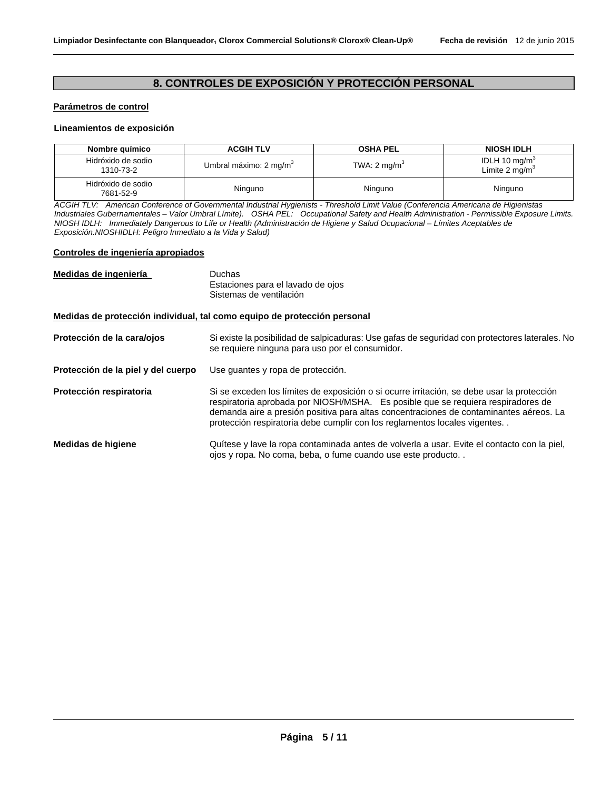#### **8. CONTROLES DE EXPOSICIÓN Y PROTECCIÓN PERSONAL**

#### **Parámetros de control**

#### **Lineamientos de exposición**

| Nombre químico                  | <b>ACGIH TLV</b>                   | <b>OSHA PEL</b>         | <b>NIOSH IDLH</b>                                       |
|---------------------------------|------------------------------------|-------------------------|---------------------------------------------------------|
| Hidróxido de sodio<br>1310-73-2 | Umbral máximo: 2 mg/m <sup>3</sup> | TWA: $2 \text{ mg/m}^3$ | IDLH 10 mg/m <sup>3</sup><br>Límite 2 mg/m <sup>3</sup> |
| Hidróxido de sodio<br>7681-52-9 | Ninguno                            | Ninguno                 | Ninguno                                                 |

*ACGIH TLV: American Conference of Governmental Industrial Hygienists - Threshold Limit Value (Conferencia Americana de Higienistas Industriales Gubernamentales – Valor Umbral Límite). OSHA PEL: Occupational Safety and Health Administration - Permissible Exposure Limits. NIOSH IDLH: Immediately Dangerous to Life or Health (Administración de Higiene y Salud Ocupacional – Límites Aceptables de Exposición.NIOSHIDLH: Peligro Inmediato a la Vida y Salud)* 

#### **Controles de ingeniería apropiados**

| Medidas de ingeniería              | <b>Duchas</b><br>Estaciones para el lavado de ojos<br>Sistemas de ventilación                                                                                                                                                                                                                                                                         |
|------------------------------------|-------------------------------------------------------------------------------------------------------------------------------------------------------------------------------------------------------------------------------------------------------------------------------------------------------------------------------------------------------|
|                                    | Medidas de protección individual, tal como equipo de protección personal                                                                                                                                                                                                                                                                              |
| Protección de la cara/ojos         | Si existe la posibilidad de salpicaduras: Use gafas de seguridad con protectores laterales. No<br>se requiere ninguna para uso por el consumidor.                                                                                                                                                                                                     |
| Protección de la piel y del cuerpo | Use guantes y ropa de protección.                                                                                                                                                                                                                                                                                                                     |
| Protección respiratoria            | Si se exceden los límites de exposición o si ocurre irritación, se debe usar la protección<br>respiratoria aprobada por NIOSH/MSHA. Es posible que se requiera respiradores de<br>demanda aire a presión positiva para altas concentraciones de contaminantes aéreos. La<br>protección respiratoria debe cumplir con los reglamentos locales vigentes |
| Medidas de higiene                 | Quítese y lave la ropa contaminada antes de volverla a usar. Evite el contacto con la piel,<br>ojos y ropa. No coma, beba, o fume cuando use este producto                                                                                                                                                                                            |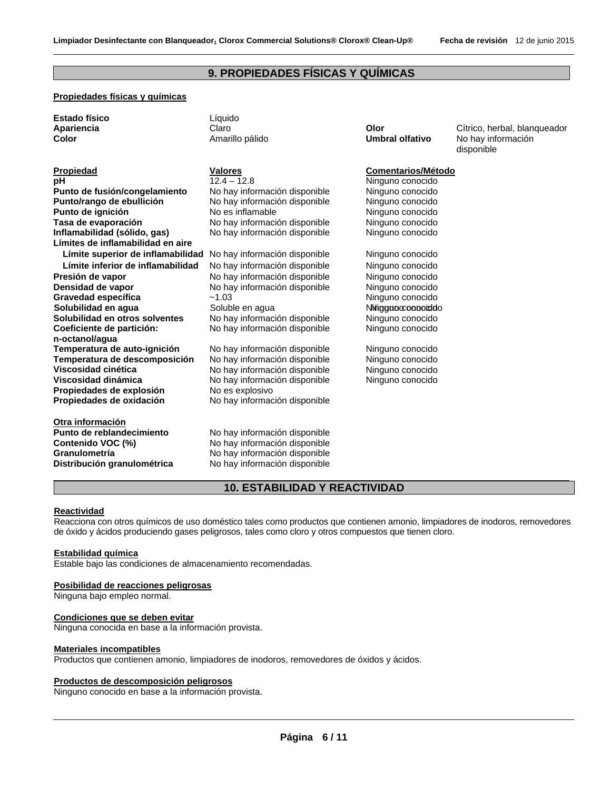#### **9. PROPIEDADES FÍSICAS Y QUÍMICAS**

#### **Propiedades físicas y químicas**

| <b>Estado físico</b><br>Líauido<br>Apariencia<br>Olor<br>Claro<br>Color<br>Amarillo pálido<br>Umbral olfativo | Cítrico, herbal, blangueador<br>No hay información<br>disponible |
|---------------------------------------------------------------------------------------------------------------|------------------------------------------------------------------|
|---------------------------------------------------------------------------------------------------------------|------------------------------------------------------------------|

**Punto de fusión/congelamiento** No hay información disponible Ninguno conocido **Punto/rango de ebullición** No hay información disponible Ninguno conocido **Punto de ignición No es inflamable Ninguno conocido Ninguno conocido Tasa de evaporación** No hay información disponible Ninguno conocido **Inflamabilidad (sólido, gas)** No hay información disponible Ninguno conocido **Límites de inflamabilidad en aire Presión de vapor** No hay información disponible Ninguno conocido **Densidad de vapor** No hay información disponible Ninguno conocido **Gravedad específica** ~1.03 Ninguno conocido **Solubilidad en agua** Soluble en agua Ninguno conocido Ninguno conocido **Solubilidad en otros solventes** No hay información disponible Ninguno conocido **Coeficiente de partición: n-octanol/agua Temperatura de auto-ignición** No hay información disponible Ninguno conocido **Temperatura de descomposición** No hay información disponible **Ninguno conocido**<br>**Viscosidad cinética** No hay información disponible Ninguno conocido **Viscosidad dinámica** No hay información disponible Ninguno conocido **Propiedades de explosión** No es explosivo

**Otra información Punto de reblandecimiento** <br>
No hay información disponible<br>
No hay información disponible **Distribución granulométrica** No hay información disponible

# **Propiedad Valores Comentarios/Método pH 12.4 – 12.8** Ninguno conocido **Límite superior de inflamabilidad** No hay información disponible Ninguno conocido **Límite inferior de inflamabilidad** No hay información disponible Ninguno conocido No hay información disponible Ninguno conocido

No hay información disponible Ninguno conocido **Propiedades de oxidación** No hay información disponible

No hay información disponible **Granulometría** No hay información disponible

#### **10. ESTABILIDAD Y REACTIVIDAD**

#### **Reactividad**

Reacciona con otros químicos de uso doméstico tales como productos que contienen amonio, limpiadores de inodoros, removedores de óxido y ácidos produciendo gases peligrosos, tales como cloro y otros compuestos que tienen cloro.

#### **Estabilidad química**

Estable bajo las condiciones de almacenamiento recomendadas.

#### **Posibilidad de reacciones peligrosas**

Ninguna bajo empleo normal.

#### **Condiciones que se deben evitar**

Ninguna conocida en base a la información provista.

#### **Materiales incompatibles**

Productos que contienen amonio, limpiadores de inodoros, removedores de óxidos y ácidos.

#### **Productos de descomposición peligrosos**

Ninguno conocido en base a la información provista.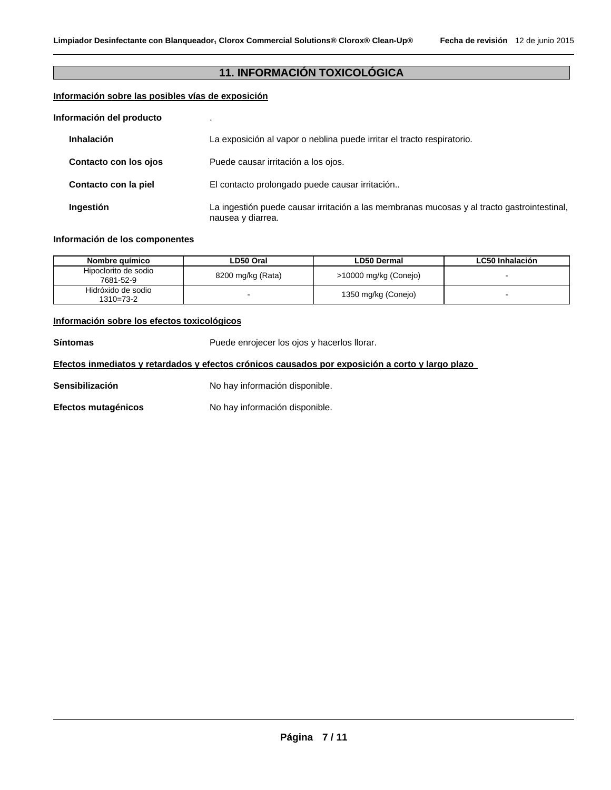#### **11. INFORMACIÓN TOXICOLÓGICA**

#### **Información sobre las posibles vías de exposición**

| Información del producto |                                                                                                                 |
|--------------------------|-----------------------------------------------------------------------------------------------------------------|
| <b>Inhalación</b>        | La exposición al vapor o neblina puede irritar el tracto respiratorio.                                          |
| Contacto con los ojos    | Puede causar irritación a los ojos.                                                                             |
| Contacto con la piel     | El contacto prolongado puede causar irritación                                                                  |
| Ingestión                | La ingestión puede causar irritación a las membranas mucosas y al tracto gastrointestinal,<br>nausea y diarrea. |

#### **Información de los componentes**

| Nombre auímico                    | LD50 Oral         | LD50 Dermal           | <b>LC50 Inhalación</b> |
|-----------------------------------|-------------------|-----------------------|------------------------|
| Hipoclorito de sodio<br>7681-52-9 | 8200 mg/kg (Rata) | >10000 mg/kg (Conejo) |                        |
| Hidróxido de sodio<br>1310=73-2   |                   | 1350 mg/kg (Conejo)   |                        |

#### **Información sobre los efectos toxicológicos**

Síntomas **Solutions** Puede enrojecer los ojos y hacerlos llorar.

#### **Efectos inmediatos y retardados y efectos crónicos causados por exposición a corto y largo plazo**

Sensibilización **No hay información disponible.** 

Efectos mutagénicos **No hay información disponible.**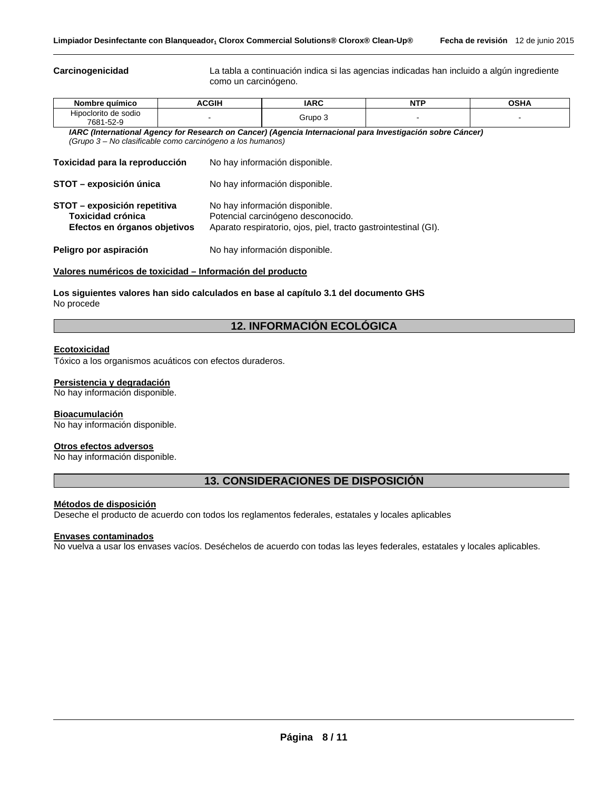**Carcinogenicidad** La tabla a continuación indica si las agencias indicadas han incluido a algún ingrediente como un carcinógeno.

| Nombre químico                                                                                             | ACGIH | <b>IARC</b> | <b>NTP</b> | <b>OSHA</b> |
|------------------------------------------------------------------------------------------------------------|-------|-------------|------------|-------------|
| Hipoclorito de sodio<br>7681-52-9                                                                          |       | Grupo 3     |            |             |
| IARC (International Agency for Research on Cancer) (Agencia Internacional para Investigación sobre Cáncer) |       |             |            |             |
| (Grupo 3 – No clasificable como carcinógeno a los humanos)                                                 |       |             |            |             |

| Toxicidad para la reproducción                                                           | No hay información disponible.                                                                                                          |
|------------------------------------------------------------------------------------------|-----------------------------------------------------------------------------------------------------------------------------------------|
| STOT - exposición única                                                                  | No hay información disponible.                                                                                                          |
| STOT - exposición repetitiva<br><b>Toxicidad crónica</b><br>Efectos en órganos objetivos | No hay información disponible.<br>Potencial carcinógeno desconocido.<br>Aparato respiratorio, ojos, piel, tracto gastrointestinal (GI). |
| Peligro por aspiración                                                                   | No hay información disponible.                                                                                                          |

#### **Valores numéricos de toxicidad – Información del producto**

**Los siguientes valores han sido calculados en base al capítulo 3.1 del documento GHS** No procede

#### **12. INFORMACIÓN ECOLÓGICA**

#### **Ecotoxicidad**

Tóxico a los organismos acuáticos con efectos duraderos.

#### **Persistencia y degradación**

No hay información disponible.

#### **Bioacumulación**

No hay información disponible.

#### **Otros efectos adversos**

No hay información disponible.

#### **13. CONSIDERACIONES DE DISPOSICIÓN**

#### **Métodos de disposición**

Deseche el producto de acuerdo con todos los reglamentos federales, estatales y locales aplicables

#### **Envases contaminados**

No vuelva a usar los envases vacíos. Deséchelos de acuerdo con todas las leyes federales, estatales y locales aplicables.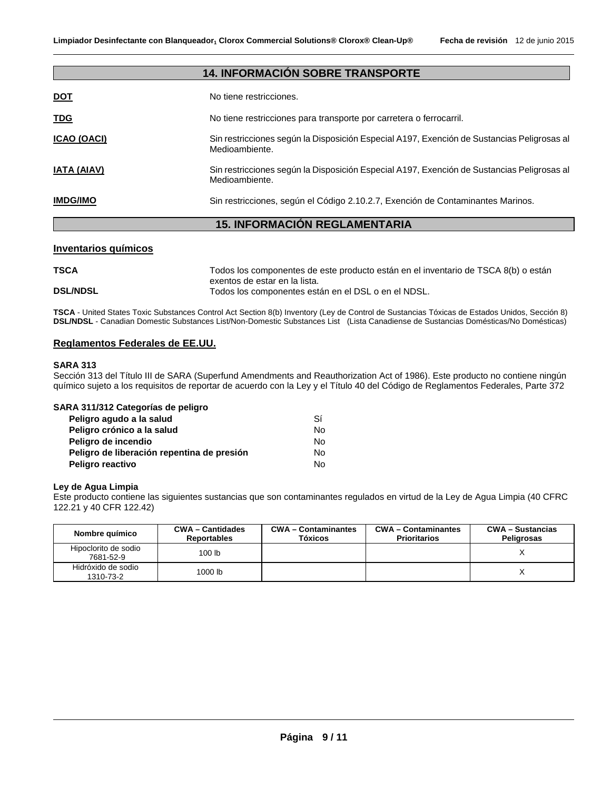| <b>14. INFORMACIÓN SOBRE TRANSPORTE</b> |                                                                                                              |  |
|-----------------------------------------|--------------------------------------------------------------------------------------------------------------|--|
| <b>DOT</b>                              | No tiene restricciones.                                                                                      |  |
| <b>TDG</b>                              | No tiene restricciones para transporte por carretera o ferrocarril.                                          |  |
| <b>ICAO (OACI)</b>                      | Sin restricciones según la Disposición Especial A197, Exención de Sustancias Peligrosas al<br>Medioambiente. |  |
| <b>IATA (AIAV)</b>                      | Sin restricciones según la Disposición Especial A197, Exención de Sustancias Peligrosas al<br>Medioambiente. |  |
| <b>IMDG/IMO</b>                         | Sin restricciones, según el Código 2.10.2.7, Exención de Contaminantes Marinos.                              |  |
|                                         | <b>15. INFORMACIÓN REGLAMENTARIA</b>                                                                         |  |

#### **Inventarios químicos**

| <b>TSCA</b>     | Todos los componentes de este producto están en el inventario de TSCA 8(b) o están   |
|-----------------|--------------------------------------------------------------------------------------|
| <b>DSL/NDSL</b> | exentos de estar en la lista.<br>Todos los componentes están en el DSL o en el NDSL. |

**TSCA** - United States Toxic Substances Control Act Section 8(b) Inventory (Ley de Control de Sustancias Tóxicas de Estados Unidos, Sección 8) **DSL/NDSL** - Canadian Domestic Substances List/Non-Domestic Substances List (Lista Canadiense de Sustancias Domésticas/No Domésticas)

#### **Reglamentos Federales de EE.UU.**

#### **SARA 313**

Sección 313 del Título III de SARA (Superfund Amendments and Reauthorization Act of 1986). Este producto no contiene ningún químico sujeto a los requisitos de reportar de acuerdo con la Ley y el Título 40 del Código de Reglamentos Federales, Parte 372

| SARA 311/312 Categorías de peligro         |     |
|--------------------------------------------|-----|
| Peligro agudo a la salud                   | Sí  |
| Peligro crónico a la salud                 | Nο  |
| Peligro de incendio                        | No. |
| Peligro de liberación repentina de presión | No. |
| Peligro reactivo                           | No. |

#### **Ley de Agua Limpia**

Este producto contiene las siguientes sustancias que son contaminantes regulados en virtud de la Ley de Agua Limpia (40 CFRC 122.21 y 40 CFR 122.42)

| Nombre químico                    | <b>CWA-Cantidades</b><br><b>Reportables</b> | <b>CWA-Contaminantes</b><br><b>Tóxicos</b> | <b>CWA-Contaminantes</b><br><b>Prioritarios</b> | <b>CWA – Sustancias</b><br>Peligrosas |
|-----------------------------------|---------------------------------------------|--------------------------------------------|-------------------------------------------------|---------------------------------------|
| Hipoclorito de sodio<br>7681-52-9 | 100 <sub>lb</sub>                           |                                            |                                                 |                                       |
| Hidróxido de sodio<br>1310-73-2   | 1000 lb                                     |                                            |                                                 |                                       |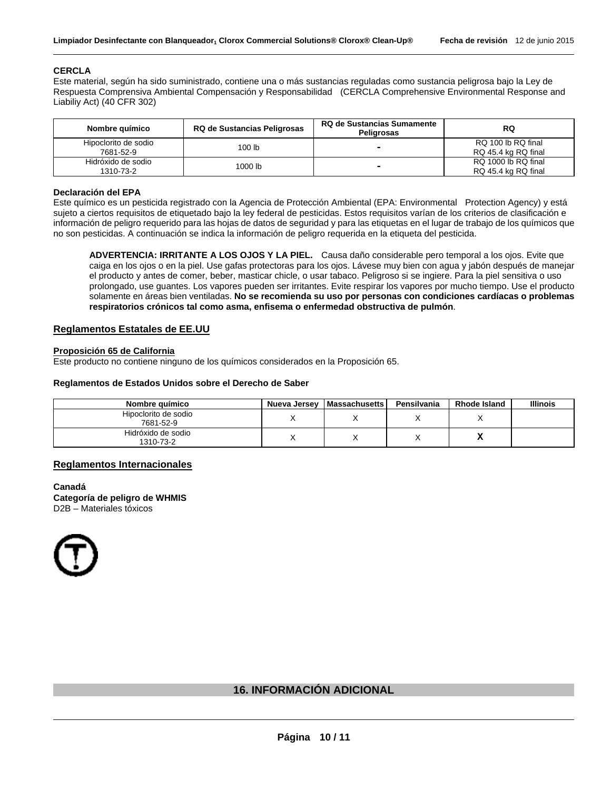#### **CERCLA**

Este material, según ha sido suministrado, contiene una o más sustancias reguladas como sustancia peligrosa bajo la Ley de Respuesta Comprensiva Ambiental Compensación y Responsabilidad (CERCLA Comprehensive Environmental Response and Liabiliy Act) (40 CFR 302)

| Nombre químico                    | <b>RQ de Sustancias Sumamente</b><br><b>RQ de Sustancias Peligrosas</b><br>Peligrosas |                          | RQ                                         |  |
|-----------------------------------|---------------------------------------------------------------------------------------|--------------------------|--------------------------------------------|--|
| Hipoclorito de sodio<br>7681-52-9 | 100 lb                                                                                | $\overline{\phantom{a}}$ | RQ 100 lb RQ final<br>RQ 45.4 kg RQ final  |  |
| Hidróxido de sodio<br>1310-73-2   | 1000 lb                                                                               | $\overline{\phantom{0}}$ | RQ 1000 lb RQ final<br>RQ 45.4 kg RQ final |  |

#### **Declaración del EPA**

Este químico es un pesticida registrado con la Agencia de Protección Ambiental (EPA: Environmental Protection Agency) y está sujeto a ciertos requisitos de etiquetado bajo la ley federal de pesticidas. Estos requisitos varían de los criterios de clasificación e información de peligro requerido para las hojas de datos de seguridad y para las etiquetas en el lugar de trabajo de los químicos que no son pesticidas. A continuación se indica la información de peligro requerida en la etiqueta del pesticida.

**ADVERTENCIA: IRRITANTE A LOS OJOS Y LA PIEL.** Causa daño considerable pero temporal a los ojos. Evite que caiga en los ojos o en la piel. Use gafas protectoras para los ojos. Lávese muy bien con agua y jabón después de manejar el producto y antes de comer, beber, masticar chicle, o usar tabaco. Peligroso si se ingiere. Para la piel sensitiva o uso prolongado, use guantes. Los vapores pueden ser irritantes. Evite respirar los vapores por mucho tiempo. Use el producto solamente en áreas bien ventiladas. **No se recomienda su uso por personas con condiciones cardíacas o problemas respiratorios crónicos tal como asma, enfisema o enfermedad obstructiva de pulmón**.

#### **Reglamentos Estatales de EE.UU**

#### **Proposición 65 de California**

Este producto no contiene ninguno de los químicos considerados en la Proposición 65.

#### **Reglamentos de Estados Unidos sobre el Derecho de Saber**

| Nombre guímico                    | Nueva Jersey | <b>Massachusetts</b> | Pensilvania | <b>Rhode Island</b> | <b>Illinois</b> |
|-----------------------------------|--------------|----------------------|-------------|---------------------|-----------------|
| Hipoclorito de sodio<br>7681-52-9 |              |                      |             |                     |                 |
| Hidróxido de sodio<br>1310-73-2   |              |                      |             | ́                   |                 |

#### **Reglamentos Internacionales**

**Canadá Categoría de peligro de WHMIS**  D2B – Materiales tóxicos



#### **16. INFORMACIÓN ADICIONAL**